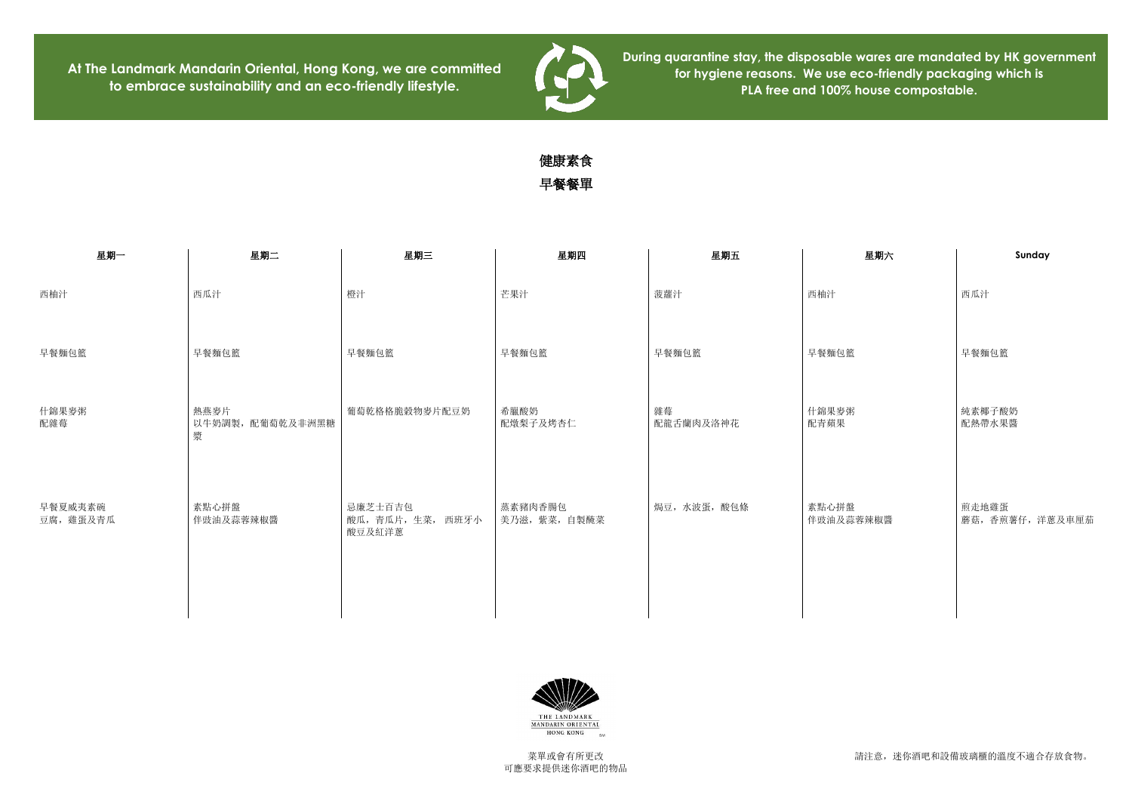請注意,迷你酒吧和設備玻璃櫃的溫度不適合存放食物。

**At The Landmark Mandarin Oriental, Hong Kong, we are committed to embrace sustainability and an eco-friendly lifestyle.**



**During quarantine stay, the disposable wares are mandated by HK government for hygiene reasons. We use eco-friendly packaging which is PLA free and 100% house compostable.**

## 健康素食 早餐餐單

| 星期一                  | 星期二                           | 星期三                                  | 星期四                      | 星期五             | 星期六                | Sunday             |
|----------------------|-------------------------------|--------------------------------------|--------------------------|-----------------|--------------------|--------------------|
| 西柚汁                  | 西瓜汁                           | 橙汁                                   | 芒果汁                      | 菠蘿汁             | 西柚汁                | 西瓜汁                |
| 早餐麵包籃                | 早餐麵包籃                         | 早餐麵包籃                                | 早餐麵包籃                    | 早餐麵包籃           | 早餐麵包籃              | 早餐麵包籃              |
| 什錦果麥粥<br>配雜莓         | 熱燕麥片<br>以牛奶調製, 配葡萄乾及非洲黑糖<br>漿 | 葡萄乾格格脆穀物麥片配豆奶                        | 希臘酸奶<br>配燉梨子及烤杏仁         | 雜莓<br>配龍舌蘭肉及洛神花 | 什錦果麥粥<br>配青蘋果      | 純素椰子酸奶<br>配熱帶水果醬   |
| 早餐夏威夷素碗<br>豆腐, 雞蛋及青瓜 | 素點心拼盤<br>伴豉油及蒜蓉辣椒醬            | 忌廉芝士百吉包<br>酸瓜,青瓜片,生菜, 西班牙小<br>酸豆及紅洋蔥 | 蒸素豬肉香腸包<br>美乃滋, 紫菜, 自製醃菜 | 焗豆,水波蛋,酸包條      | 素點心拼盤<br>伴豉油及蒜蓉辣椒醬 | 煎走地雞蛋<br>蘑菇,香煎薯仔,洋 |



| 星期六  | Sunday                    |  |  |  |
|------|---------------------------|--|--|--|
|      | 西瓜汁                       |  |  |  |
|      | 早餐麵包籃                     |  |  |  |
|      | 純素椰子酸奶<br>配熱帶水果醬          |  |  |  |
| 蓉辣椒醬 | 煎走地雞蛋<br>蘑菇, 香煎薯仔, 洋蔥及車厘茄 |  |  |  |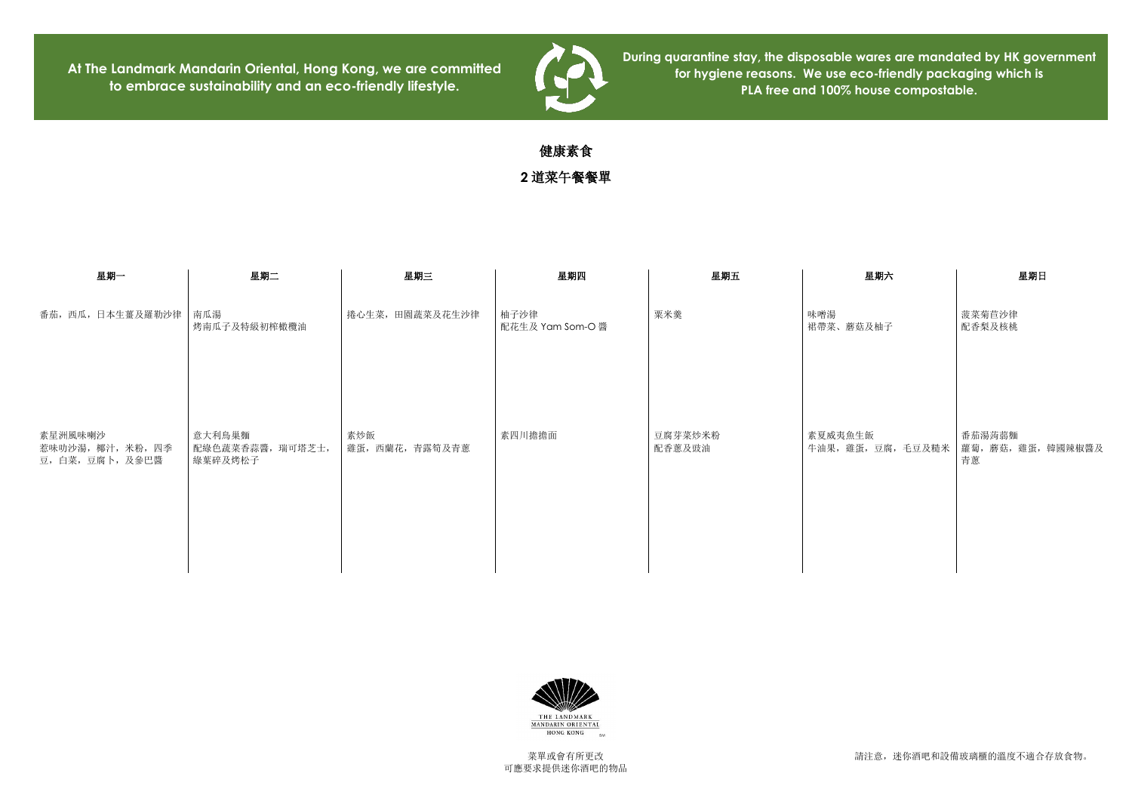請注意,迷你酒吧和設備玻璃櫃的溫度不適合存放食物。

**At The Landmark Mandarin Oriental, Hong Kong, we are committed to embrace sustainability and an eco-friendly lifestyle.**



**During quarantine stay, the disposable wares are mandated by HK government for hygiene reasons. We use eco-friendly packaging which is PLA free and 100% house compostable.**

## 健康素食

**2** 道菜午餐餐單

| 星期一                                              | 星期二                                   | 星期三                    | 星期四                      | 星期五               | 星期六                           | 星期日                         |
|--------------------------------------------------|---------------------------------------|------------------------|--------------------------|-------------------|-------------------------------|-----------------------------|
| 番茄, 西瓜, 日本生薑及羅勒沙律   南瓜湯                          | 烤南瓜子及特級初榨橄欖油                          | 捲心生菜, 田園蔬菜及花生沙律        | 柚子沙律<br>配花生及 Yam Som-O 醬 | 粟米羹               | 味噌湯<br>裙帶菜、蘑菇及柚子              | 菠菜菊苣沙律<br>配香梨及核桃            |
| 素星洲風味喇沙<br>惹味叻沙湯, 椰汁, 米粉, 四季<br>豆, 白菜, 豆腐卜, 及參巴醬 | 意大利鳥巢麵<br>配綠色蔬菜香蒜醬, 瑞可塔芝士,<br>綠葉碎及烤松子 | 素炒飯<br>雞蛋, 西蘭花, 青露筍及青蔥 | 素四川擔擔面                   | 豆腐芽菜炒米粉<br>配香蔥及豉油 | 素夏威夷魚生飯<br>牛油果, 雞蛋, 豆腐, 毛豆及糙米 | 番茄湯蒟蒻麵<br>蘿蔔, 蘑菇, 雞蛋,<br>青蔥 |



| 星期日                                |
|------------------------------------|
| 菠菜菊苣沙律<br>配香梨及核桃                   |
| 番茄湯蒟蒻麵<br>蘿蔔, 蘑菇, 雞蛋, 韓國辣椒醬及<br>青蔥 |
|                                    |